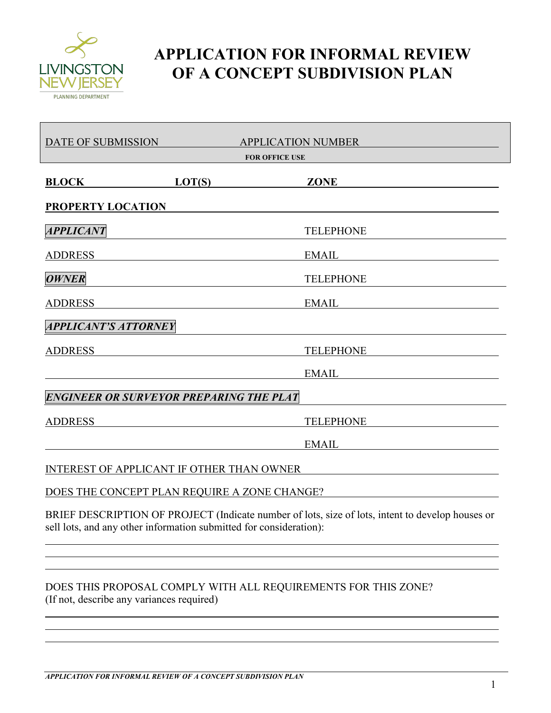

## **APPLICATION FOR INFORMAL REVIEW OF A CONCEPT SUBDIVISION PLAN**

| DATE OF SUBMISSION<br><b>APPLICATION NUMBER</b><br><b>FOR OFFICE USE</b> |                                                                                                                                                                        |
|--------------------------------------------------------------------------|------------------------------------------------------------------------------------------------------------------------------------------------------------------------|
| <b>BLOCK</b>                                                             | LOT(S)<br><b>ZONE</b>                                                                                                                                                  |
| <b>PROPERTY LOCATION</b>                                                 |                                                                                                                                                                        |
| <i><b>APPLICANT</b></i>                                                  | <b>TELEPHONE</b>                                                                                                                                                       |
| <b>ADDRESS</b>                                                           | <b>EMAIL</b>                                                                                                                                                           |
| <b>OWNER</b>                                                             | <b>TELEPHONE</b>                                                                                                                                                       |
| <b>ADDRESS</b>                                                           | <b>EMAIL</b>                                                                                                                                                           |
| <b>APPLICANT'S ATTORNEY</b>                                              |                                                                                                                                                                        |
| <b>ADDRESS</b>                                                           | <b>TELEPHONE</b>                                                                                                                                                       |
|                                                                          | <b>EMAIL</b>                                                                                                                                                           |
| <b>ENGINEER OR SURVEYOR PREPARING THE PLAT</b>                           |                                                                                                                                                                        |
| <b>ADDRESS</b>                                                           | <b>TELEPHONE</b>                                                                                                                                                       |
|                                                                          | <b>EMAIL</b>                                                                                                                                                           |
| INTEREST OF APPLICANT IF OTHER THAN OWNER                                |                                                                                                                                                                        |
| DOES THE CONCEPT PLAN REQUIRE A ZONE CHANGE?                             |                                                                                                                                                                        |
|                                                                          | BRIEF DESCRIPTION OF PROJECT (Indicate number of lots, size of lots, intent to develop houses or<br>sell lots, and any other information submitted for consideration): |
|                                                                          |                                                                                                                                                                        |
| (If not, describe any variances required)                                | DOES THIS PROPOSAL COMPLY WITH ALL REQUIREMENTS FOR THIS ZONE?                                                                                                         |